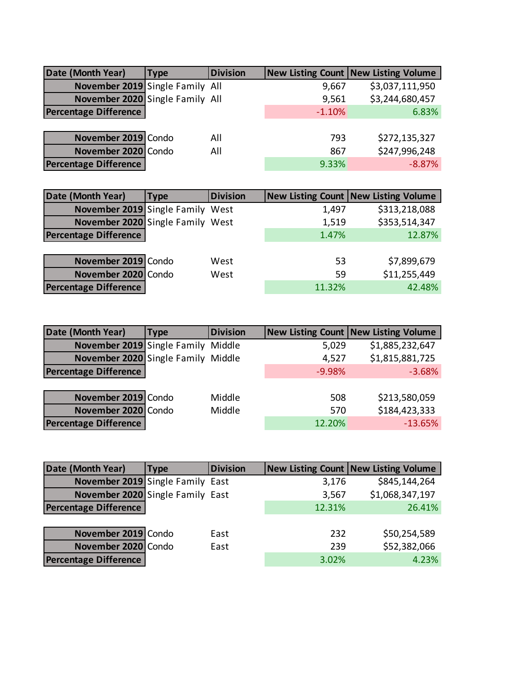| Date (Month Year)               | Type | <b>Division</b> |          | <b>New Listing Count New Listing Volume</b> |
|---------------------------------|------|-----------------|----------|---------------------------------------------|
| November 2019 Single Family All |      |                 | 9,667    | \$3,037,111,950                             |
| November 2020 Single Family All |      |                 | 9,561    | \$3,244,680,457                             |
| <b>Percentage Difference</b>    |      |                 | $-1.10%$ | 6.83%                                       |
|                                 |      |                 |          |                                             |
| November 2019 Condo             |      | All             | 793      | \$272,135,327                               |
| November 2020 Condo             |      | All             | 867      | \$247,996,248                               |
| <b>Percentage Difference</b>    |      |                 | 9.33%    | $-8.87%$                                    |

| <b>Type</b> | <b>Division</b>                                                                                            |                                                                      | <b>New Listing Count   New Listing Volume</b> |
|-------------|------------------------------------------------------------------------------------------------------------|----------------------------------------------------------------------|-----------------------------------------------|
|             |                                                                                                            | 1,497                                                                | \$313,218,088                                 |
|             |                                                                                                            | 1,519                                                                | \$353,514,347                                 |
|             |                                                                                                            | 1.47%                                                                | 12.87%                                        |
|             |                                                                                                            |                                                                      |                                               |
|             | West                                                                                                       | 53                                                                   | \$7,899,679                                   |
|             | West                                                                                                       | 59                                                                   | \$11,255,449                                  |
|             |                                                                                                            | 11.32%                                                               | 42.48%                                        |
|             | <b>Percentage Difference</b><br>November 2019 Condo<br>November 2020 Condo<br><b>Percentage Difference</b> | November 2019 Single Family West<br>November 2020 Single Family West |                                               |

| Date (Month Year)                  | <b>Type</b> | <b>Division</b> |          | New Listing Count   New Listing Volume |
|------------------------------------|-------------|-----------------|----------|----------------------------------------|
| November 2019 Single Family Middle |             |                 | 5,029    | \$1,885,232,647                        |
| November 2020 Single Family Middle |             |                 | 4,527    | \$1,815,881,725                        |
| <b>Percentage Difference</b>       |             |                 | $-9.98%$ | $-3.68%$                               |
|                                    |             |                 |          |                                        |
| November 2019 Condo                |             | Middle          | 508      | \$213,580,059                          |
| November 2020 Condo                |             | Middle          | 570      | \$184,423,333                          |
| <b>Percentage Difference</b>       |             |                 | 12.20%   | $-13.65%$                              |

| Date (Month Year)                | Type | <b>Division</b> |        | <b>New Listing Count   New Listing Volume</b> |
|----------------------------------|------|-----------------|--------|-----------------------------------------------|
| November 2019 Single Family East |      |                 | 3,176  | \$845,144,264                                 |
| November 2020 Single Family East |      |                 | 3,567  | \$1,068,347,197                               |
| <b>Percentage Difference</b>     |      |                 | 12.31% | 26.41%                                        |
|                                  |      |                 |        |                                               |
| November 2019 Condo              |      | East            | 232    | \$50,254,589                                  |
| November 2020 Condo              |      | East            | 239    | \$52,382,066                                  |
| <b>Percentage Difference</b>     |      |                 | 3.02%  | 4.23%                                         |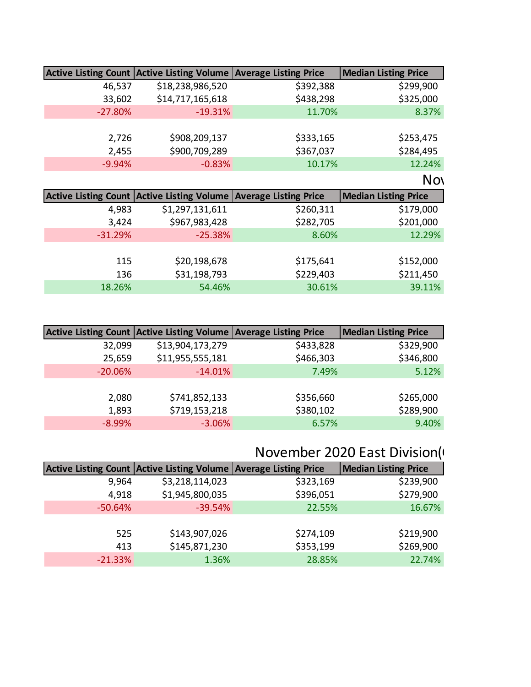|           | Active Listing Count Active Listing Volume Average Listing Price                    |           | Median Listing Price |
|-----------|-------------------------------------------------------------------------------------|-----------|----------------------|
| 46,537    | \$18,238,986,520                                                                    | \$392,388 | \$299,900            |
| 33,602    | \$14,717,165,618                                                                    | \$438,298 | \$325,000            |
| $-27.80%$ | $-19.31%$                                                                           | 11.70%    | 8.37%                |
|           |                                                                                     |           |                      |
| 2,726     | \$908,209,137                                                                       | \$333,165 | \$253,475            |
| 2,455     | \$900,709,289                                                                       | \$367,037 | \$284,495            |
| $-9.94%$  | $-0.83%$                                                                            | 10.17%    | 12.24%               |
|           |                                                                                     |           | <b>Nov</b>           |
|           |                                                                                     |           |                      |
|           |                                                                                     |           | Median Listing Price |
| 4,983     | Active Listing Count Active Listing Volume Average Listing Price<br>\$1,297,131,611 | \$260,311 | \$179,000            |
| 3,424     | \$967,983,428                                                                       | \$282,705 | \$201,000            |
| $-31.29%$ | $-25.38%$                                                                           | 8.60%     | 12.29%               |
|           |                                                                                     |           |                      |
| 115       | \$20,198,678                                                                        | \$175,641 | \$152,000            |
| 136       | \$31,198,793                                                                        | \$229,403 | \$211,450            |

|           | Active Listing Count Active Listing Volume Average Listing Price |           | <b>Median Listing Price</b> |
|-----------|------------------------------------------------------------------|-----------|-----------------------------|
| 32,099    | \$13,904,173,279                                                 | \$433,828 | \$329,900                   |
| 25,659    | \$11,955,555,181                                                 | \$466,303 | \$346,800                   |
| $-20.06%$ | $-14.01%$                                                        | 7.49%     | 5.12%                       |
|           |                                                                  |           |                             |
| 2,080     | \$741,852,133                                                    | \$356,660 | \$265,000                   |
| 1,893     | \$719,153,218                                                    | \$380,102 | \$289,900                   |
| $-8.99%$  | $-3.06%$                                                         | 6.57%     | 9.40%                       |

# November 2020 East Division(Greater Chatten

| <b>Median Listing Price</b> |
|-----------------------------|
| \$239,900                   |
| \$279,900                   |
| 16.67%                      |
|                             |
| \$219,900                   |
| \$269,900                   |
| 22.74%                      |
|                             |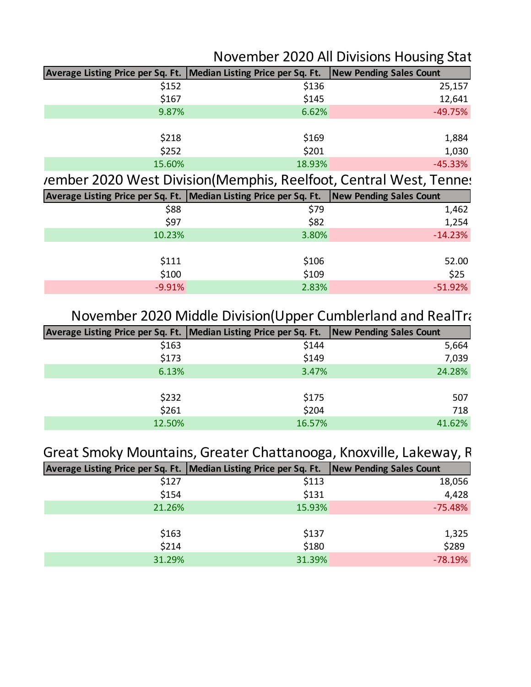#### November 2020 All Divisions Housing Stat

| Average Listing Price per Sq. Ft.   Median Listing Price per Sq. Ft.   New Pending Sales Count |        |           |
|------------------------------------------------------------------------------------------------|--------|-----------|
| \$152                                                                                          | \$136  | 25,157    |
| \$167                                                                                          | \$145  | 12,641    |
| 9.87%                                                                                          | 6.62%  | $-49.75%$ |
|                                                                                                |        |           |
| \$218                                                                                          | \$169  | 1,884     |
| \$252                                                                                          | \$201  | 1,030     |
| 15.60%                                                                                         | 18.93% | $-45.33%$ |

rember 2020 West Division(Memphis, Reelfoot, Central West, Tennes

| Average Listing Price per Sq. Ft.   Median Listing Price per Sq. Ft.   New Pending Sales Count |       |           |
|------------------------------------------------------------------------------------------------|-------|-----------|
| \$88                                                                                           | \$79  | 1,462     |
| \$97                                                                                           | \$82  | 1,254     |
| 10.23%                                                                                         | 3.80% | $-14.23%$ |
|                                                                                                |       |           |
| \$111                                                                                          | \$106 | 52.00     |
| \$100                                                                                          | \$109 | \$25      |
| $-9.91%$                                                                                       | 2.83% | $-51.92%$ |
|                                                                                                |       |           |

### November 2020 Middle Division(Upper Cumblerland and RealTracs

| Average Listing Price per Sq. Ft.   Median Listing Price per Sq. Ft.   New Pending Sales Count |        |        |
|------------------------------------------------------------------------------------------------|--------|--------|
| \$163                                                                                          | \$144  | 5,664  |
| \$173                                                                                          | \$149  | 7,039  |
| 6.13%                                                                                          | 3.47%  | 24.28% |
|                                                                                                |        |        |
| \$232                                                                                          | \$175  | 507    |
| \$261                                                                                          | \$204  | 718    |
| 12.50%                                                                                         | 16.57% | 41.62% |

#### Great Smoky Mountains, Greater Chattanooga, Knoxville, Lakeway, R

| Average Listing Price per Sq. Ft.   Median Listing Price per Sq. Ft.   New Pending Sales Count |        |           |
|------------------------------------------------------------------------------------------------|--------|-----------|
| \$127                                                                                          | \$113  | 18,056    |
| \$154                                                                                          | \$131  | 4,428     |
| 21.26%                                                                                         | 15.93% | $-75.48%$ |
|                                                                                                |        |           |
| \$163                                                                                          | \$137  | 1,325     |
| \$214                                                                                          | \$180  | \$289     |
| 31.29%                                                                                         | 31.39% | $-78.19%$ |
|                                                                                                |        |           |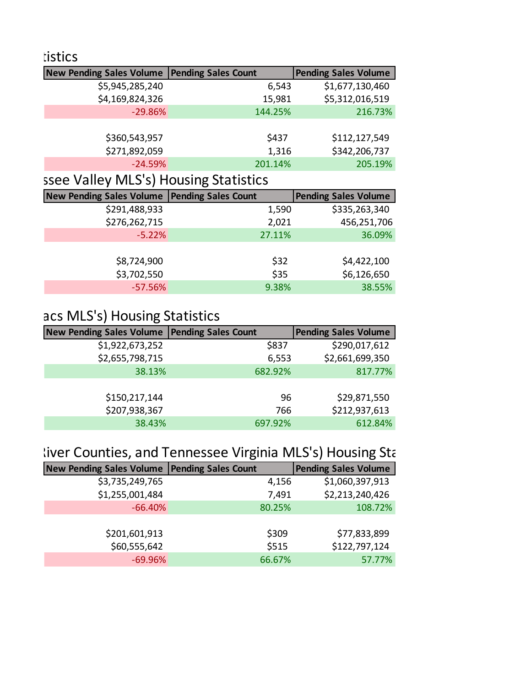| <b>Eistics</b>                                 |         |                             |
|------------------------------------------------|---------|-----------------------------|
| New Pending Sales Volume   Pending Sales Count |         | <b>Pending Sales Volume</b> |
| \$5,945,285,240                                | 6,543   | \$1,677,130,460             |
| \$4,169,824,326                                | 15,981  | \$5,312,016,519             |
| $-29.86%$                                      | 144.25% | 216.73%                     |
|                                                |         |                             |
| \$360,543,957                                  | \$437   | \$112,127,549               |
| \$271,892,059                                  | 1,316   | \$342,206,737               |
| $-24.59%$                                      | 201.14% | 205.19%                     |
|                                                |         |                             |

### ssee Valley MLS's) Housing Statistics

| <b>New Pending Sales Volume</b> | <b>Pending Sales Count</b> | <b>Pending Sales Volume</b> |
|---------------------------------|----------------------------|-----------------------------|
| \$291,488,933                   | 1,590                      | \$335,263,340               |
| \$276,262,715                   | 2,021                      | 456,251,706                 |
| $-5.22%$                        | 27.11%                     | 36.09%                      |
|                                 |                            |                             |
| \$8,724,900                     | \$32                       | \$4,422,100                 |
| \$3,702,550                     | \$35                       | \$6,126,650                 |
| $-57.56%$                       | 9.38%                      | 38.55%                      |

# acs MLS's) Housing Statistics

| <b>New Pending Sales Volume</b> | <b>Pending Sales Count</b> | <b>Pending Sales Volume</b> |
|---------------------------------|----------------------------|-----------------------------|
| \$1,922,673,252                 | \$837                      | \$290,017,612               |
| \$2,655,798,715                 | 6,553                      | \$2,661,699,350             |
| 38.13%                          | 682.92%                    | 817.77%                     |
|                                 |                            |                             |
| \$150,217,144                   | 96                         | \$29,871,550                |
| \$207,938,367                   | 766                        | \$212,937,613               |
| 38.43%                          | 697.92%                    | 612.84%                     |

# liver Counties, and Tennessee Virginia MLS's) Housing Sta

| <b>New Pending Sales Volume</b> | <b>Pending Sales Count</b> | <b>Pending Sales Volume</b> |
|---------------------------------|----------------------------|-----------------------------|
| \$3,735,249,765                 | 4,156                      | \$1,060,397,913             |
| \$1,255,001,484                 | 7,491                      | \$2,213,240,426             |
| $-66.40%$                       | 80.25%                     | 108.72%                     |
|                                 |                            |                             |
| \$201,601,913                   | \$309                      | \$77,833,899                |
| \$60,555,642                    | \$515                      | \$122,797,124               |
| $-69.96%$                       | 66.67%                     | 57.77%                      |
|                                 |                            |                             |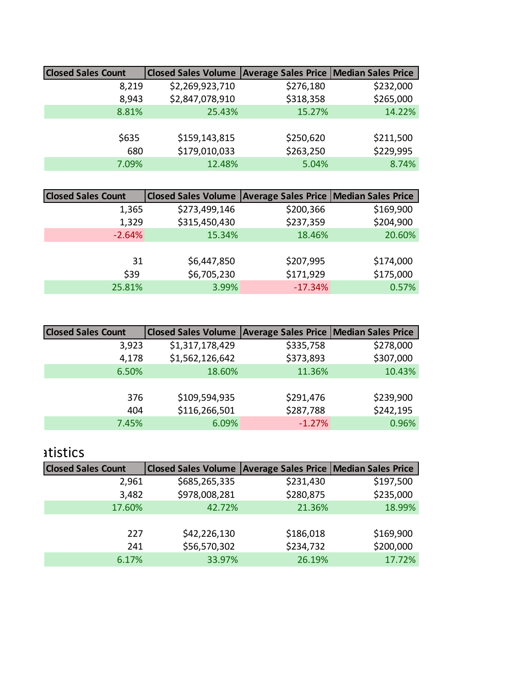| <b>Closed Sales Count</b> | Closed Sales Volume   Average Sales Price   Median Sales Price |           |           |
|---------------------------|----------------------------------------------------------------|-----------|-----------|
| 8,219                     | \$2,269,923,710                                                | \$276,180 | \$232,000 |
| 8,943                     | \$2,847,078,910                                                | \$318,358 | \$265,000 |
| 8.81%                     | 25.43%                                                         | 15.27%    | 14.22%    |
|                           |                                                                |           |           |
| \$635                     | \$159,143,815                                                  | \$250,620 | \$211,500 |
| 680                       | \$179,010,033                                                  | \$263,250 | \$229,995 |
| 7.09%                     | 12.48%                                                         | 5.04%     | 8.74%     |
|                           |                                                                |           |           |

| <b>Closed Sales Count</b> | Closed Sales Volume   Average Sales Price   Median Sales Price |           |           |
|---------------------------|----------------------------------------------------------------|-----------|-----------|
| 1,365                     | \$273,499,146                                                  | \$200,366 | \$169,900 |
| 1,329                     | \$315,450,430                                                  | \$237,359 | \$204,900 |
| $-2.64%$                  | 15.34%                                                         | 18.46%    | 20.60%    |
|                           |                                                                |           |           |
| 31                        | \$6,447,850                                                    | \$207,995 | \$174,000 |
| \$39                      | \$6,705,230                                                    | \$171,929 | \$175,000 |
| 25.81%                    | 3.99%                                                          | $-17.34%$ | 0.57%     |
|                           |                                                                |           |           |

| <b>Closed Sales Count</b> | Closed Sales Volume   Average Sales Price   Median Sales Price |           |           |
|---------------------------|----------------------------------------------------------------|-----------|-----------|
| 3,923                     | \$1,317,178,429                                                | \$335,758 | \$278,000 |
| 4,178                     | \$1,562,126,642                                                | \$373,893 | \$307,000 |
| 6.50%                     | 18.60%                                                         | 11.36%    | 10.43%    |
|                           |                                                                |           |           |
| 376                       | \$109,594,935                                                  | \$291,476 | \$239,900 |
| 404                       | \$116,266,501                                                  | \$287,788 | \$242,195 |
| 7.45%                     | 6.09%                                                          | $-1.27%$  | 0.96%     |

#### atistics

| <b>Closed Sales Count</b> | Closed Sales Volume   Average Sales Price   Median Sales Price |           |           |
|---------------------------|----------------------------------------------------------------|-----------|-----------|
| 2,961                     | \$685,265,335                                                  | \$231,430 | \$197,500 |
| 3,482                     | \$978,008,281                                                  | \$280,875 | \$235,000 |
| 17.60%                    | 42.72%                                                         | 21.36%    | 18.99%    |
|                           |                                                                |           |           |
| 227                       | \$42,226,130                                                   | \$186,018 | \$169,900 |
| 241                       | \$56,570,302                                                   | \$234,732 | \$200,000 |
| 6.17%                     | 33.97%                                                         | 26.19%    | 17.72%    |
|                           |                                                                |           |           |